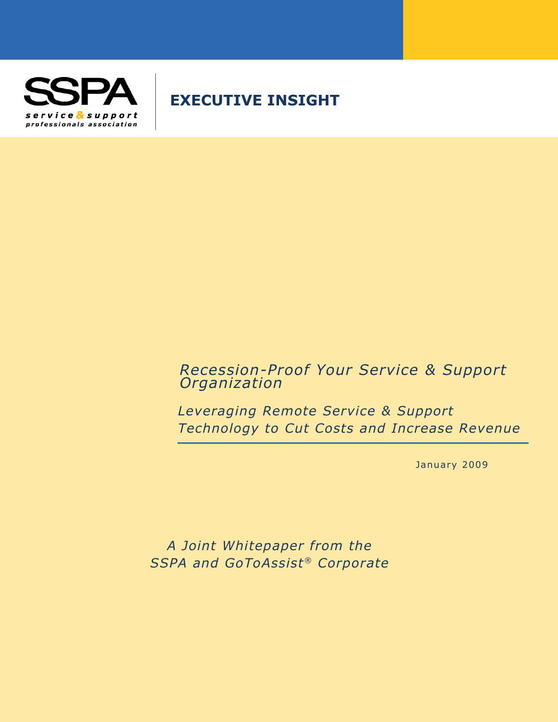

## **EXECUTIVE INSIGHT**

## *Recession-Proof Your Service & Support Organization*

*Leveraging Remote Service & Support Technology to Cut Costs and Increase Revenue*

January 2009

*A Joint Whitepaper from the SSPA and GoToAssist® Corporate*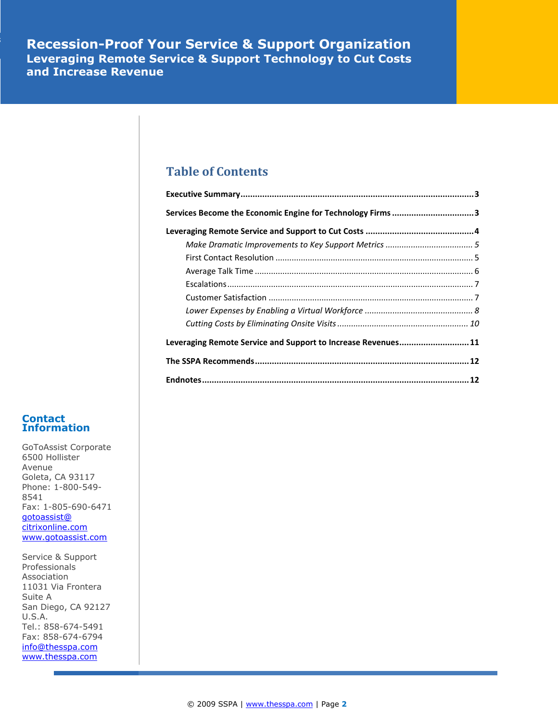**RECESSION-Proof Your Service & Support Organization The Contract of Service & Support Organization Leveraging Remote Service & Support Technology to Cut Costs and Increase Revenue**

## **Table of Contents**

| Services Become the Economic Engine for Technology Firms 3   |  |
|--------------------------------------------------------------|--|
|                                                              |  |
|                                                              |  |
|                                                              |  |
|                                                              |  |
|                                                              |  |
|                                                              |  |
|                                                              |  |
|                                                              |  |
| Leveraging Remote Service and Support to Increase Revenues11 |  |
|                                                              |  |
|                                                              |  |

#### **Contact Information**

GoToAssist Corporate 6500 Hollister Avenue Goleta, CA 93117 Phone: 1-800-549- 8541 Fax: 1-805-690-6471 [gotoassist@](mailto:gotoassist@citrixonline.com) [citrixonline.com](mailto:gotoassist@citrixonline.com) [www.gotoassist.com](http://www.gotoassist.com/)

Service & Support Professionals Association 11031 Via Frontera Suite A San Diego, CA 92127 U.S.A. Tel.: 858-674-5491 Fax: 858-674-6794 [info@thesspa.com](mailto:info@thesspa.com) [www.thesspa.com](http://www.thesspa.com/)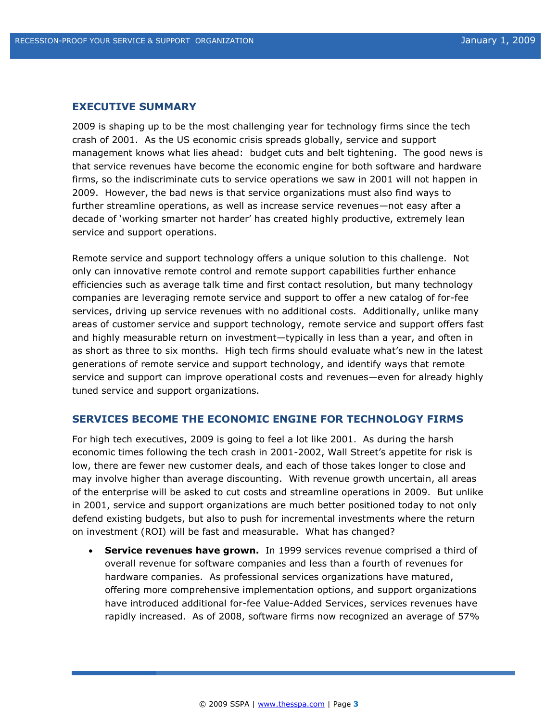#### <span id="page-2-0"></span>**EXECUTIVE SUMMARY**

2009 is shaping up to be the most challenging year for technology firms since the tech crash of 2001. As the US economic crisis spreads globally, service and support management knows what lies ahead: budget cuts and belt tightening. The good news is that service revenues have become the economic engine for both software and hardware firms, so the indiscriminate cuts to service operations we saw in 2001 will not happen in 2009. However, the bad news is that service organizations must also find ways to further streamline operations, as well as increase service revenues—not easy after a decade of "working smarter not harder" has created highly productive, extremely lean service and support operations.

Remote service and support technology offers a unique solution to this challenge. Not only can innovative remote control and remote support capabilities further enhance efficiencies such as average talk time and first contact resolution, but many technology companies are leveraging remote service and support to offer a new catalog of for-fee services, driving up service revenues with no additional costs. Additionally, unlike many areas of customer service and support technology, remote service and support offers fast and highly measurable return on investment—typically in less than a year, and often in as short as three to six months. High tech firms should evaluate what's new in the latest generations of remote service and support technology, and identify ways that remote service and support can improve operational costs and revenues—even for already highly tuned service and support organizations.

#### <span id="page-2-1"></span>**SERVICES BECOME THE ECONOMIC ENGINE FOR TECHNOLOGY FIRMS**

For high tech executives, 2009 is going to feel a lot like 2001. As during the harsh economic times following the tech crash in 2001-2002, Wall Street"s appetite for risk is low, there are fewer new customer deals, and each of those takes longer to close and may involve higher than average discounting. With revenue growth uncertain, all areas of the enterprise will be asked to cut costs and streamline operations in 2009. But unlike in 2001, service and support organizations are much better positioned today to not only defend existing budgets, but also to push for incremental investments where the return on investment (ROI) will be fast and measurable. What has changed?

 **Service revenues have grown.** In 1999 services revenue comprised a third of overall revenue for software companies and less than a fourth of revenues for hardware companies. As professional services organizations have matured, offering more comprehensive implementation options, and support organizations have introduced additional for-fee Value-Added Services, services revenues have rapidly increased. As of 2008, software firms now recognized an average of 57%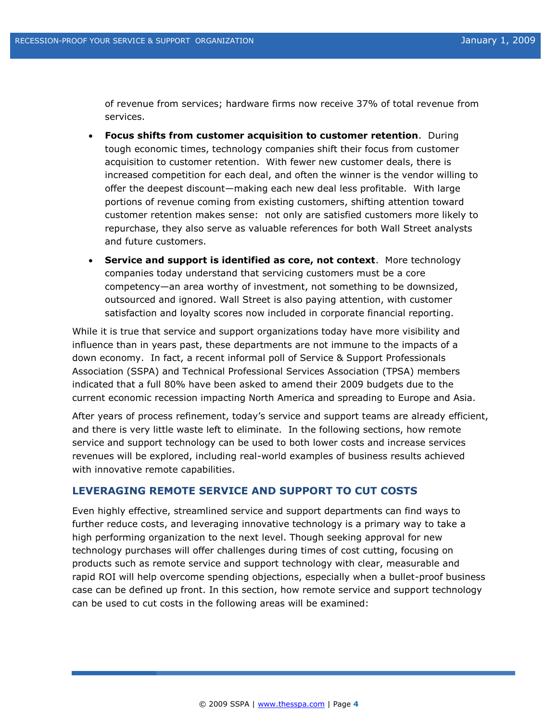of revenue from services; hardware firms now receive 37% of total revenue from services.

- **Focus shifts from customer acquisition to customer retention**. During tough economic times, technology companies shift their focus from customer acquisition to customer retention. With fewer new customer deals, there is increased competition for each deal, and often the winner is the vendor willing to offer the deepest discount—making each new deal less profitable. With large portions of revenue coming from existing customers, shifting attention toward customer retention makes sense: not only are satisfied customers more likely to repurchase, they also serve as valuable references for both Wall Street analysts and future customers.
- **Service and support is identified as core, not context**. More technology companies today understand that servicing customers must be a core competency—an area worthy of investment, not something to be downsized, outsourced and ignored. Wall Street is also paying attention, with customer satisfaction and loyalty scores now included in corporate financial reporting.

While it is true that service and support organizations today have more visibility and influence than in years past, these departments are not immune to the impacts of a down economy. In fact, a recent informal poll of Service & Support Professionals Association (SSPA) and Technical Professional Services Association (TPSA) members indicated that a full 80% have been asked to amend their 2009 budgets due to the current economic recession impacting North America and spreading to Europe and Asia.

After years of process refinement, today's service and support teams are already efficient, and there is very little waste left to eliminate. In the following sections, how remote service and support technology can be used to both lower costs and increase services revenues will be explored, including real-world examples of business results achieved with innovative remote capabilities.

#### <span id="page-3-0"></span>**LEVERAGING REMOTE SERVICE AND SUPPORT TO CUT COSTS**

Even highly effective, streamlined service and support departments can find ways to further reduce costs, and leveraging innovative technology is a primary way to take a high performing organization to the next level. Though seeking approval for new technology purchases will offer challenges during times of cost cutting, focusing on products such as remote service and support technology with clear, measurable and rapid ROI will help overcome spending objections, especially when a bullet-proof business case can be defined up front. In this section, how remote service and support technology can be used to cut costs in the following areas will be examined: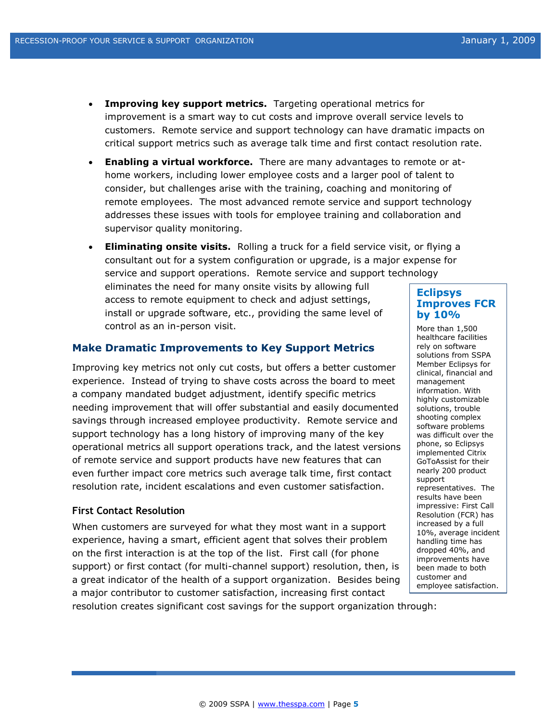- **Improving key support metrics.** Targeting operational metrics for improvement is a smart way to cut costs and improve overall service levels to customers. Remote service and support technology can have dramatic impacts on critical support metrics such as average talk time and first contact resolution rate.
- **Enabling a virtual workforce.** There are many advantages to remote or athome workers, including lower employee costs and a larger pool of talent to consider, but challenges arise with the training, coaching and monitoring of remote employees. The most advanced remote service and support technology addresses these issues with tools for employee training and collaboration and supervisor quality monitoring.
- **Eliminating onsite visits.** Rolling a truck for a field service visit, or flying a consultant out for a system configuration or upgrade, is a major expense for service and support operations. Remote service and support technology eliminates the need for many onsite visits by allowing full access to remote equipment to check and adjust settings, install or upgrade software, etc., providing the same level of control as an in-person visit. **Eclipsys by 10%** More than 1,500

#### <span id="page-4-0"></span>**Make Dramatic Improvements to Key Support Metrics**

Improving key metrics not only cut costs, but offers a better customer experience. Instead of trying to shave costs across the board to meet a company mandated budget adjustment, identify specific metrics needing improvement that will offer substantial and easily documented savings through increased employee productivity. Remote service and support technology has a long history of improving many of the key operational metrics all support operations track, and the latest versions of remote service and support products have new features that can even further impact core metrics such average talk time, first contact resolution rate, incident escalations and even customer satisfaction.

#### <span id="page-4-1"></span>**First Contact Resolution**

When customers are surveyed for what they most want in a support experience, having a smart, efficient agent that solves their problem on the first interaction is at the top of the list. First call (for phone support) or first contact (for multi-channel support) resolution, then, is a great indicator of the health of a support organization. Besides being a major contributor to customer satisfaction, increasing first contact resolution creates significant cost savings for the support organization through:

# **Improves FCR**

healthcare facilities rely on software solutions from SSPA Member Eclipsys for clinical, financial and management information. With highly customizable solutions, trouble shooting complex software problems was difficult over the phone, so Eclipsys implemented Citrix GoToAssist for their nearly 200 product support representatives. The results have been impressive: First Call Resolution (FCR) has increased by a full 10%, average incident handling time has dropped 40%, and improvements have been made to both customer and employee satisfaction.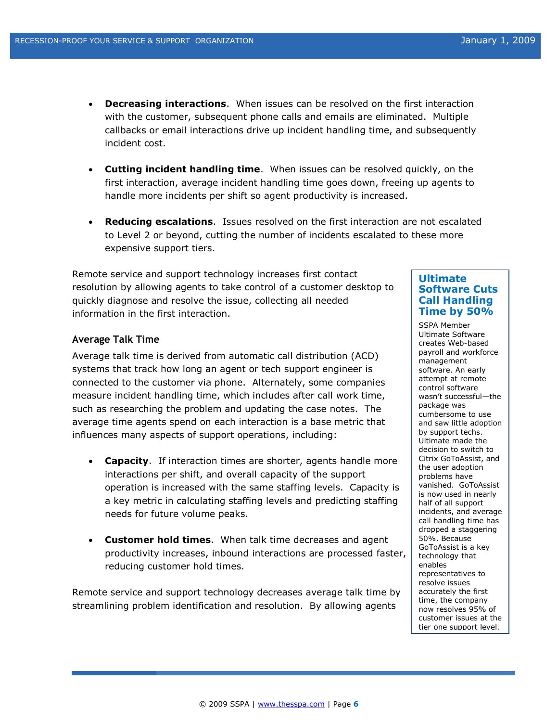- **Decreasing interactions**. When issues can be resolved on the first interaction with the customer, subsequent phone calls and emails are eliminated. Multiple callbacks or email interactions drive up incident handling time, and subsequently incident cost.
- **Cutting incident handling time**. When issues can be resolved quickly, on the first interaction, average incident handling time goes down, freeing up agents to handle more incidents per shift so agent productivity is increased.
- **Reducing escalations**. Issues resolved on the first interaction are not escalated to Level 2 or beyond, cutting the number of incidents escalated to these more expensive support tiers.

Remote service and support technology increases first contact resolution by allowing agents to take control of a customer desktop to quickly diagnose and resolve the issue, collecting all needed information in the first interaction.

#### <span id="page-5-0"></span>**Average Talk Time**

Average talk time is derived from automatic call distribution (ACD) systems that track how long an agent or tech support engineer is connected to the customer via phone. Alternately, some companies measure incident handling time, which includes after call work time, such as researching the problem and updating the case notes. The average time agents spend on each interaction is a base metric that influences many aspects of support operations, including:

- **Capacity**. If interaction times are shorter, agents handle more interactions per shift, and overall capacity of the support operation is increased with the same staffing levels. Capacity is a key metric in calculating staffing levels and predicting staffing needs for future volume peaks.
- **Customer hold times**. When talk time decreases and agent productivity increases, inbound interactions are processed faster, reducing customer hold times.

Remote service and support technology decreases average talk time by streamlining problem identification and resolution. By allowing agents

#### **Ultimate Software Cuts Call Handling Time by 50%**

SSPA Member Ultimate Software creates Web-based payroll and workforce management software. An early attempt at remote control software wasn"t successful—the package was cumbersome to use and saw little adoption by support techs. Ultimate made the decision to switch to Citrix GoToAssist, and the user adoption problems have vanished. GoToAssist is now used in nearly half of all support incidents, and average call handling time has dropped a staggering 50%. Because GoToAssist is a key technology that enables representatives to resolve issues accurately the first time, the company now resolves 95% of customer issues at the tier one support level.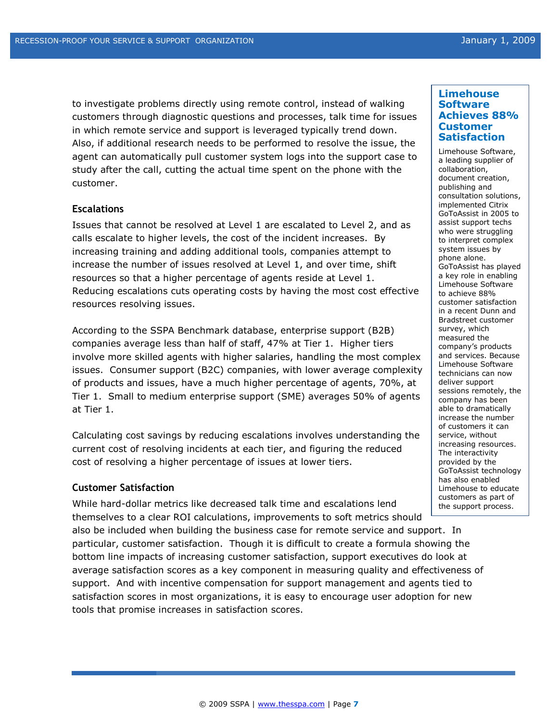to investigate problems directly using remote control, instead of walking customers through diagnostic questions and processes, talk time for issues in which remote service and support is leveraged typically trend down. Also, if additional research needs to be performed to resolve the issue, the agent can automatically pull customer system logs into the support case to study after the call, cutting the actual time spent on the phone with the customer.

#### <span id="page-6-0"></span>**Escalations**

Issues that cannot be resolved at Level 1 are escalated to Level 2, and as calls escalate to higher levels, the cost of the incident increases. By increasing training and adding additional tools, companies attempt to increase the number of issues resolved at Level 1, and over time, shift resources so that a higher percentage of agents reside at Level 1. Reducing escalations cuts operating costs by having the most cost effective resources resolving issues.

According to the SSPA Benchmark database, enterprise support (B2B) companies average less than half of staff, 47% at Tier 1. Higher tiers involve more skilled agents with higher salaries, handling the most complex issues. Consumer support (B2C) companies, with lower average complexity of products and issues, have a much higher percentage of agents, 70%, at Tier 1. Small to medium enterprise support (SME) averages 50% of agents at Tier 1.

Calculating cost savings by reducing escalations involves understanding the current cost of resolving incidents at each tier, and figuring the reduced cost of resolving a higher percentage of issues at lower tiers.

#### <span id="page-6-1"></span>**Customer Satisfaction**

While hard-dollar metrics like decreased talk time and escalations lend themselves to a clear ROI calculations, improvements to soft metrics should

also be included when building the business case for remote service and support. In particular, customer satisfaction. Though it is difficult to create a formula showing the bottom line impacts of increasing customer satisfaction, support executives do look at average satisfaction scores as a key component in measuring quality and effectiveness of support. And with incentive compensation for support management and agents tied to satisfaction scores in most organizations, it is easy to encourage user adoption for new tools that promise increases in satisfaction scores.

#### **Limehouse Software Achieves 88% Customer Satisfaction**

Limehouse Software, a leading supplier of collaboration, document creation, publishing and consultation solutions, implemented Citrix GoToAssist in 2005 to assist support techs who were struggling to interpret complex system issues by phone alone. GoToAssist has played a key role in enabling Limehouse Software to achieve 88% customer satisfaction in a recent Dunn and Bradstreet customer survey, which measured the company"s products and services. Because Limehouse Software technicians can now deliver support sessions remotely, the company has been able to dramatically increase the number of customers it can service, without increasing resources. The interactivity provided by the GoToAssist technology has also enabled Limehouse to educate customers as part of the support process.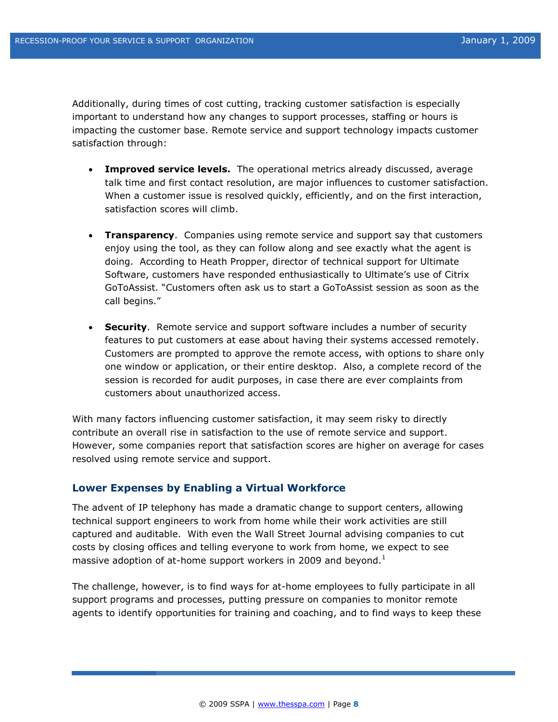Additionally, during times of cost cutting, tracking customer satisfaction is especially important to understand how any changes to support processes, staffing or hours is impacting the customer base. Remote service and support technology impacts customer satisfaction through:

- **Improved service levels.** The operational metrics already discussed, average talk time and first contact resolution, are major influences to customer satisfaction. When a customer issue is resolved quickly, efficiently, and on the first interaction, satisfaction scores will climb.
- **Transparency**. Companies using remote service and support say that customers enjoy using the tool, as they can follow along and see exactly what the agent is doing. According to Heath Propper, director of technical support for Ultimate Software, customers have responded enthusiastically to Ultimate"s use of Citrix GoToAssist. "Customers often ask us to start a GoToAssist session as soon as the call begins."
- **Security**. Remote service and support software includes a number of security features to put customers at ease about having their systems accessed remotely. Customers are prompted to approve the remote access, with options to share only one window or application, or their entire desktop. Also, a complete record of the session is recorded for audit purposes, in case there are ever complaints from customers about unauthorized access.

With many factors influencing customer satisfaction, it may seem risky to directly contribute an overall rise in satisfaction to the use of remote service and support. However, some companies report that satisfaction scores are higher on average for cases resolved using remote service and support.

#### <span id="page-7-0"></span>**Lower Expenses by Enabling a Virtual Workforce**

The advent of IP telephony has made a dramatic change to support centers, allowing technical support engineers to work from home while their work activities are still captured and auditable. With even the Wall Street Journal advising companies to cut costs by closing offices and telling everyone to work from home, we expect to see massive adoption of at-home support workers in 2009 and beyond.<sup>1</sup>

The challenge, however, is to find ways for at-home employees to fully participate in all support programs and processes, putting pressure on companies to monitor remote agents to identify opportunities for training and coaching, and to find ways to keep these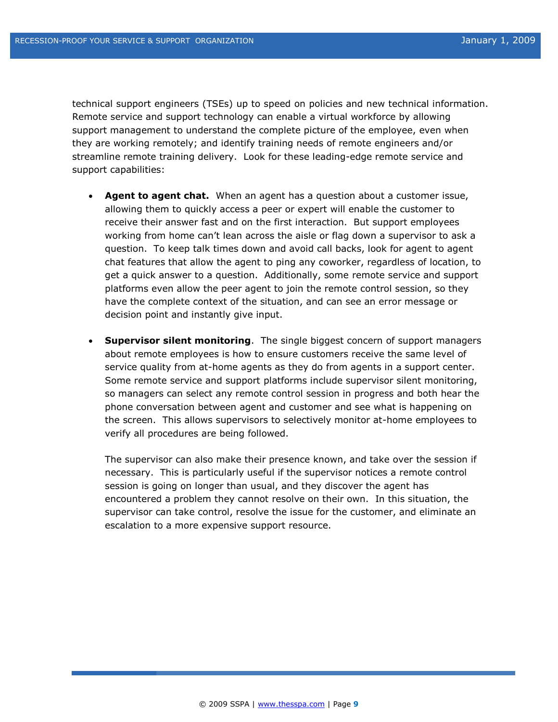technical support engineers (TSEs) up to speed on policies and new technical information. Remote service and support technology can enable a virtual workforce by allowing support management to understand the complete picture of the employee, even when they are working remotely; and identify training needs of remote engineers and/or streamline remote training delivery. Look for these leading-edge remote service and support capabilities:

- **Agent to agent chat.** When an agent has a question about a customer issue, allowing them to quickly access a peer or expert will enable the customer to receive their answer fast and on the first interaction. But support employees working from home can"t lean across the aisle or flag down a supervisor to ask a question. To keep talk times down and avoid call backs, look for agent to agent chat features that allow the agent to ping any coworker, regardless of location, to get a quick answer to a question. Additionally, some remote service and support platforms even allow the peer agent to join the remote control session, so they have the complete context of the situation, and can see an error message or decision point and instantly give input.
- **Supervisor silent monitoring**. The single biggest concern of support managers about remote employees is how to ensure customers receive the same level of service quality from at-home agents as they do from agents in a support center. Some remote service and support platforms include supervisor silent monitoring, so managers can select any remote control session in progress and both hear the phone conversation between agent and customer and see what is happening on the screen. This allows supervisors to selectively monitor at-home employees to verify all procedures are being followed.

The supervisor can also make their presence known, and take over the session if necessary. This is particularly useful if the supervisor notices a remote control session is going on longer than usual, and they discover the agent has encountered a problem they cannot resolve on their own. In this situation, the supervisor can take control, resolve the issue for the customer, and eliminate an escalation to a more expensive support resource.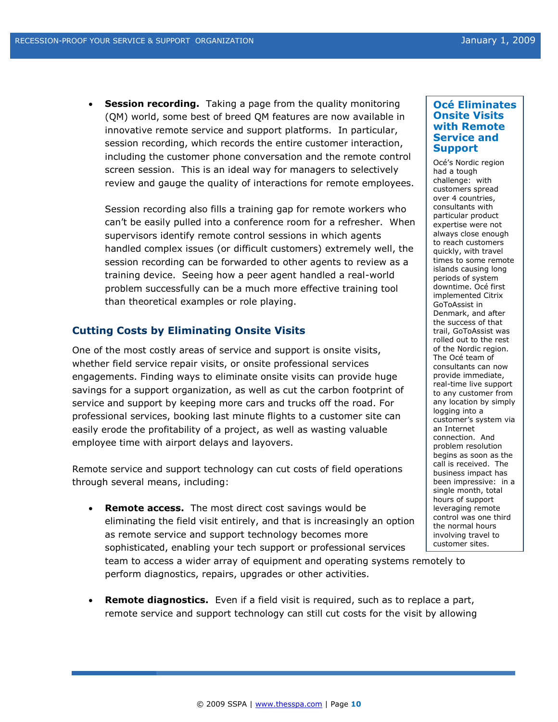**Session recording.** Taking a page from the quality monitoring (QM) world, some best of breed QM features are now available in innovative remote service and support platforms. In particular, session recording, which records the entire customer interaction, including the customer phone conversation and the remote control screen session. This is an ideal way for managers to selectively review and gauge the quality of interactions for remote employees.

Session recording also fills a training gap for remote workers who can"t be easily pulled into a conference room for a refresher. When supervisors identify remote control sessions in which agents handled complex issues (or difficult customers) extremely well, the session recording can be forwarded to other agents to review as a training device. Seeing how a peer agent handled a real-world problem successfully can be a much more effective training tool than theoretical examples or role playing.

#### <span id="page-9-0"></span>**Cutting Costs by Eliminating Onsite Visits**

One of the most costly areas of service and support is onsite visits, whether field service repair visits, or onsite professional services engagements. Finding ways to eliminate onsite visits can provide huge savings for a support organization, as well as cut the carbon footprint of service and support by keeping more cars and trucks off the road. For professional services, booking last minute flights to a customer site can easily erode the profitability of a project, as well as wasting valuable employee time with airport delays and layovers.

Remote service and support technology can cut costs of field operations through several means, including:

 **Remote access.** The most direct cost savings would be eliminating the field visit entirely, and that is increasingly an option as remote service and support technology becomes more sophisticated, enabling your tech support or professional services team to access a wider array of equipment and operating systems remotely to perform diagnostics, repairs, upgrades or other activities.

#### **Océ Eliminates Onsite Visits with Remote Service and Support**

Océ"s Nordic region had a tough challenge: with customers spread over 4 countries, consultants with particular product expertise were not always close enough to reach customers quickly, with travel times to some remote islands causing long periods of system downtime. Océ first implemented Citrix GoToAssist in Denmark, and after the success of that trail, GoToAssist was rolled out to the rest of the Nordic region. The Océ team of consultants can now provide immediate, real-time live support to any customer from any location by simply logging into a customer's system via an Internet connection. And problem resolution begins as soon as the call is received. The business impact has been impressive: in a single month, total hours of support leveraging remote control was one third the normal hours involving travel to customer sites.

 **Remote diagnostics.** Even if a field visit is required, such as to replace a part, remote service and support technology can still cut costs for the visit by allowing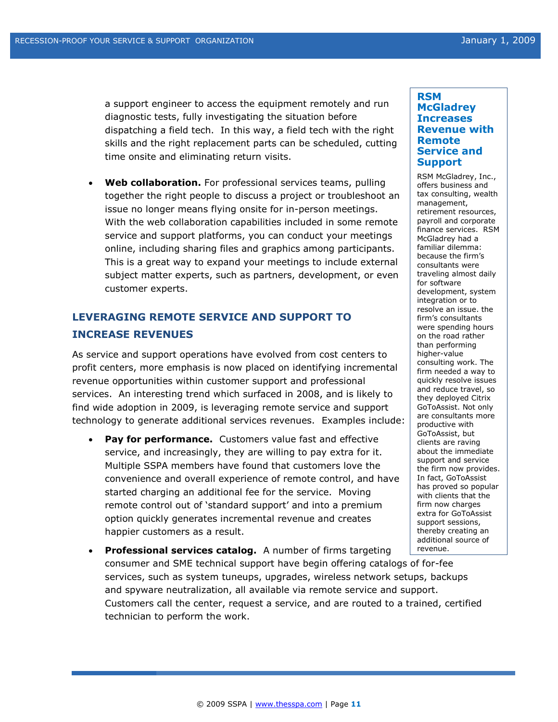a support engineer to access the equipment remotely and run diagnostic tests, fully investigating the situation before dispatching a field tech. In this way, a field tech with the right skills and the right replacement parts can be scheduled, cutting time onsite and eliminating return visits.

 **Web collaboration.** For professional services teams, pulling together the right people to discuss a project or troubleshoot an issue no longer means flying onsite for in-person meetings. With the web collaboration capabilities included in some remote service and support platforms, you can conduct your meetings online, including sharing files and graphics among participants. This is a great way to expand your meetings to include external subject matter experts, such as partners, development, or even customer experts.

## <span id="page-10-0"></span>**LEVERAGING REMOTE SERVICE AND SUPPORT TO INCREASE REVENUES**

As service and support operations have evolved from cost centers to profit centers, more emphasis is now placed on identifying incremental revenue opportunities within customer support and professional services. An interesting trend which surfaced in 2008, and is likely to find wide adoption in 2009, is leveraging remote service and support technology to generate additional services revenues. Examples include:

- **Pay for performance.** Customers value fast and effective service, and increasingly, they are willing to pay extra for it. Multiple SSPA members have found that customers love the convenience and overall experience of remote control, and have started charging an additional fee for the service. Moving remote control out of 'standard support' and into a premium option quickly generates incremental revenue and creates happier customers as a result.
- **Professional services catalog.** A number of firms targeting consumer and SME technical support have begin offering catalogs of for-fee services, such as system tuneups, upgrades, wireless network setups, backups and spyware neutralization, all available via remote service and support. Customers call the center, request a service, and are routed to a trained, certified technician to perform the work. revenue.

#### **RSM McGladrey Increases Revenue with Remote Service and Support**

RSM McGladrey, Inc., offers business and tax consulting, wealth management, retirement resources, payroll and corporate finance services. RSM McGladrey had a familiar dilemma: because the firm"s consultants were traveling almost daily for software development, system integration or to resolve an issue. the firm"s consultants were spending hours on the road rather than performing higher-value consulting work. The firm needed a way to quickly resolve issues and reduce travel, so they deployed Citrix GoToAssist. Not only are consultants more productive with GoToAssist, but clients are raving about the immediate support and service the firm now provides. In fact, GoToAssist has proved so popular with clients that the firm now charges extra for GoToAssist support sessions, thereby creating an additional source of